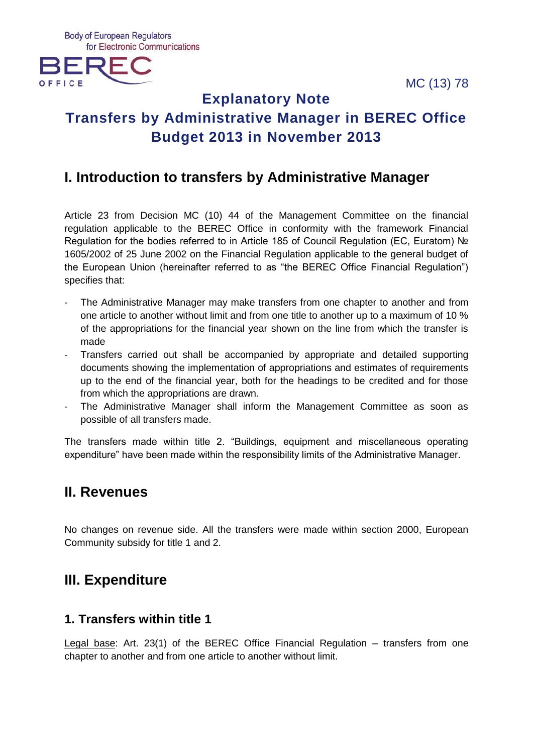MC (13) 78





# **Explanatory Note Transfers by Administrative Manager in BEREC Office Budget 2013 in November 2013**

# **I. Introduction to transfers by Administrative Manager**

Article 23 from Decision MC (10) 44 of the Management Committee on the financial regulation applicable to the BEREC Office in conformity with the framework Financial Regulation for the bodies referred to in Article 185 of Council Regulation (EC, Euratom) № 1605/2002 of 25 June 2002 on the Financial Regulation applicable to the general budget of the European Union (hereinafter referred to as "the BEREC Office Financial Regulation") specifies that:

- The Administrative Manager may make transfers from one chapter to another and from one article to another without limit and from one title to another up to a maximum of 10 % of the appropriations for the financial year shown on the line from which the transfer is made
- Transfers carried out shall be accompanied by appropriate and detailed supporting documents showing the implementation of appropriations and estimates of requirements up to the end of the financial year, both for the headings to be credited and for those from which the appropriations are drawn.
- The Administrative Manager shall inform the Management Committee as soon as possible of all transfers made.

The transfers made within title 2. "Buildings, equipment and miscellaneous operating expenditure" have been made within the responsibility limits of the Administrative Manager.

# **II. Revenues**

No changes on revenue side. All the transfers were made within section 2000, European Community subsidy for title 1 and 2.

# **III. Expenditure**

## **1. Transfers within title 1**

Legal base: Art. 23(1) of the BEREC Office Financial Regulation – transfers from one chapter to another and from one article to another without limit.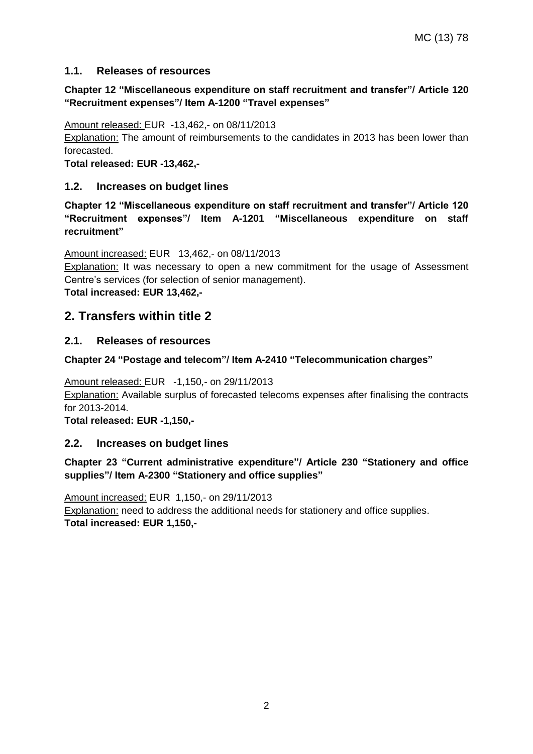### **1.1. Releases of resources**

### **Chapter 12 "Miscellaneous expenditure on staff recruitment and transfer"/ Article 120 "Recruitment expenses"/ Item A-1200 "Travel expenses"**

Amount released: EUR -13,462,- on 08/11/2013

Explanation: The amount of reimbursements to the candidates in 2013 has been lower than forecasted.

**Total released: EUR -13,462,-**

### **1.2. Increases on budget lines**

**Chapter 12 "Miscellaneous expenditure on staff recruitment and transfer"/ Article 120 "Recruitment expenses"/ Item A-1201 "Miscellaneous expenditure on staff recruitment"**

Amount increased: EUR 13,462,- on 08/11/2013

Explanation: It was necessary to open a new commitment for the usage of Assessment Centre's services (for selection of senior management).

**Total increased: EUR 13,462,-**

### **2. Transfers within title 2**

### **2.1. Releases of resources**

### **Chapter 24 "Postage and telecom"/ Item A-2410 "Telecommunication charges"**

Amount released: EUR -1,150,- on 29/11/2013 **Explanation:** Available surplus of forecasted telecoms expenses after finalising the contracts for 2013-2014.

**Total released: EUR -1,150,-**

### **2.2. Increases on budget lines**

#### **Chapter 23 "Current administrative expenditure"/ Article 230 "Stationery and office supplies"/ Item A-2300 "Stationery and office supplies"**

Amount increased: EUR 1,150,- on 29/11/2013 Explanation: need to address the additional needs for stationery and office supplies. **Total increased: EUR 1,150,-**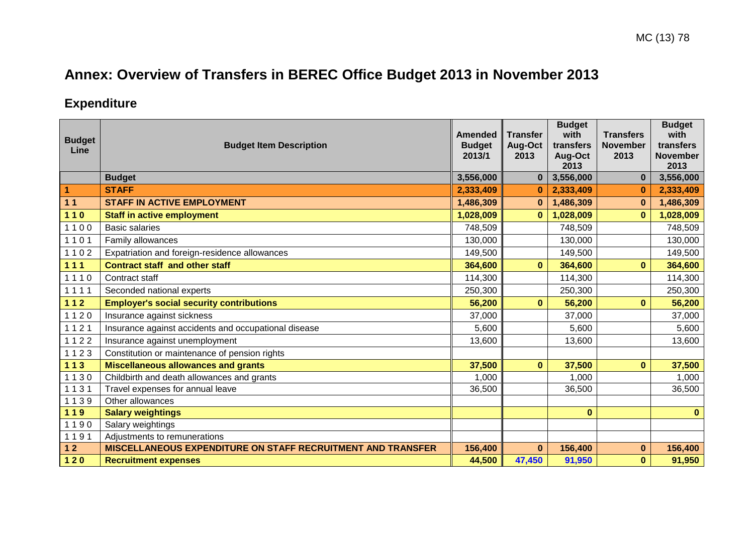# **Annex: Overview of Transfers in BEREC Office Budget 2013 in November 2013**

# **Expenditure**

| <b>Budget</b><br>Line | <b>Budget Item Description</b>                              | <b>Amended</b><br><b>Budget</b> | <b>Transfer</b><br>Aug-Oct | <b>Budget</b><br>with<br>transfers | <b>Transfers</b><br><b>November</b> | <b>Budget</b><br>with<br>transfers |
|-----------------------|-------------------------------------------------------------|---------------------------------|----------------------------|------------------------------------|-------------------------------------|------------------------------------|
|                       |                                                             | 2013/1                          | 2013                       | Aug-Oct<br>2013                    | 2013                                | <b>November</b><br>2013            |
|                       | <b>Budget</b>                                               | 3,556,000                       | $\bf{0}$                   | 3,556,000                          | $\bf{0}$                            | 3,556,000                          |
| 1                     | <b>STAFF</b>                                                | 2,333,409                       | $\bf{0}$                   | 2,333,409                          | $\bf{0}$                            | 2,333,409                          |
| 11                    | <b>STAFF IN ACTIVE EMPLOYMENT</b>                           | 1,486,309                       | $\bf{0}$                   | 1,486,309                          | $\bf{0}$                            | 1,486,309                          |
| $110$                 | <b>Staff in active employment</b>                           | 1,028,009                       | $\bf{0}$                   | 1,028,009                          | $\bf{0}$                            | 1,028,009                          |
| 1100                  | <b>Basic salaries</b>                                       | 748,509                         |                            | 748,509                            |                                     | 748,509                            |
| 1101                  | Family allowances                                           | 130,000                         |                            | 130,000                            |                                     | 130,000                            |
| 1102                  | Expatriation and foreign-residence allowances               | 149,500                         |                            | 149,500                            |                                     | 149,500                            |
| $111$                 | <b>Contract staff and other staff</b>                       | 364,600                         | $\bf{0}$                   | 364,600                            | $\mathbf{0}$                        | 364,600                            |
| 1110                  | Contract staff                                              | 114,300                         |                            | 114,300                            |                                     | 114,300                            |
| 1111                  | Seconded national experts                                   | 250,300                         |                            | 250,300                            |                                     | 250,300                            |
| $112$                 | <b>Employer's social security contributions</b>             | 56,200                          | $\mathbf{0}$               | 56,200                             | $\mathbf{0}$                        | 56,200                             |
| 1120                  | Insurance against sickness                                  | 37,000                          |                            | 37,000                             |                                     | 37,000                             |
| 1121                  | Insurance against accidents and occupational disease        | 5,600                           |                            | 5,600                              |                                     | 5,600                              |
| 1122                  | Insurance against unemployment                              | 13,600                          |                            | 13,600                             |                                     | 13,600                             |
| 1123                  | Constitution or maintenance of pension rights               |                                 |                            |                                    |                                     |                                    |
| $113$                 | <b>Miscellaneous allowances and grants</b>                  | 37,500                          | $\bf{0}$                   | 37,500                             | $\mathbf{0}$                        | 37,500                             |
| 1130                  | Childbirth and death allowances and grants                  | 1,000                           |                            | 1,000                              |                                     | 1,000                              |
| 1131                  | Travel expenses for annual leave                            | 36,500                          |                            | 36,500                             |                                     | 36,500                             |
| 1139                  | Other allowances                                            |                                 |                            |                                    |                                     |                                    |
| 119                   | <b>Salary weightings</b>                                    |                                 |                            | $\mathbf{0}$                       |                                     | $\mathbf{0}$                       |
| 1190                  | Salary weightings                                           |                                 |                            |                                    |                                     |                                    |
| 1191                  | Adjustments to remunerations                                |                                 |                            |                                    |                                     |                                    |
| $12$                  | MISCELLANEOUS EXPENDITURE ON STAFF RECRUITMENT AND TRANSFER | 156,400                         | $\bf{0}$                   | 156,400                            | $\bf{0}$                            | 156,400                            |
| $120$                 | <b>Recruitment expenses</b>                                 | 44,500                          | 47,450                     | 91,950                             | $\bf{0}$                            | 91,950                             |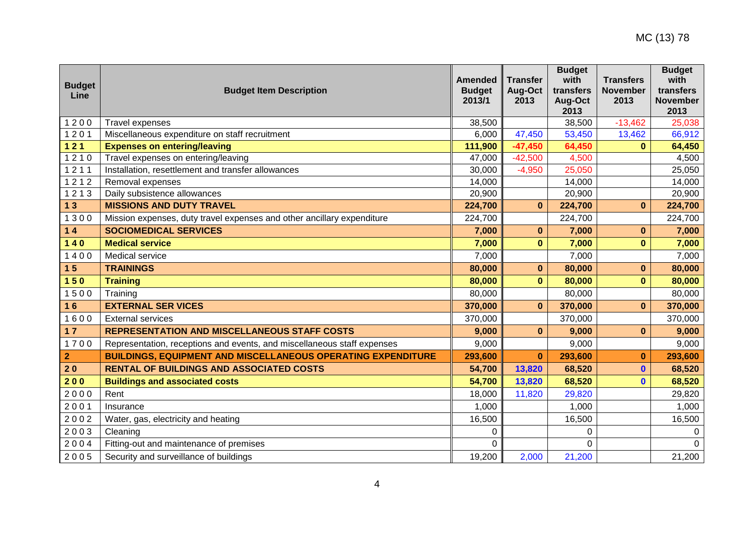| <b>Budget</b><br>Line | <b>Budget Item Description</b>                                          | <b>Amended</b><br><b>Budget</b><br>2013/1 | <b>Transfer</b><br>Aug-Oct<br>2013 | <b>Budget</b><br>with<br>transfers<br>Aug-Oct<br>2013 | <b>Transfers</b><br><b>November</b><br>2013 | <b>Budget</b><br>with<br>transfers<br><b>November</b><br>2013 |
|-----------------------|-------------------------------------------------------------------------|-------------------------------------------|------------------------------------|-------------------------------------------------------|---------------------------------------------|---------------------------------------------------------------|
| 1200                  | Travel expenses                                                         | 38,500                                    |                                    | 38,500                                                | $-13,462$                                   | 25,038                                                        |
| 1201                  | Miscellaneous expenditure on staff recruitment                          | 6,000                                     | 47,450                             | 53,450                                                | 13,462                                      | 66,912                                                        |
| $121$                 | <b>Expenses on entering/leaving</b>                                     | 111,900                                   | $-47,450$                          | 64,450                                                | $\bf{0}$                                    | 64,450                                                        |
| 1210                  | Travel expenses on entering/leaving                                     | 47,000                                    | $-42,500$                          | 4,500                                                 |                                             | 4,500                                                         |
| 1211                  | Installation, resettlement and transfer allowances                      | 30,000                                    | $-4,950$                           | 25,050                                                |                                             | 25,050                                                        |
| 1212                  | Removal expenses                                                        | 14,000                                    |                                    | 14,000                                                |                                             | 14,000                                                        |
| 1213                  | Daily subsistence allowances                                            | 20,900                                    |                                    | 20,900                                                |                                             | 20,900                                                        |
| 13                    | <b>MISSIONS AND DUTY TRAVEL</b>                                         | 224,700                                   | $\bf{0}$                           | 224,700                                               | $\bf{0}$                                    | 224,700                                                       |
| 1300                  | Mission expenses, duty travel expenses and other ancillary expenditure  | 224,700                                   |                                    | 224,700                                               |                                             | 224,700                                                       |
| $14$                  | <b>SOCIOMEDICAL SERVICES</b>                                            | 7,000                                     | $\bf{0}$                           | 7,000                                                 | $\bf{0}$                                    | 7,000                                                         |
| $140$                 | <b>Medical service</b>                                                  | 7,000                                     | $\bf{0}$                           | 7,000                                                 | $\bf{0}$                                    | 7,000                                                         |
| 1400                  | Medical service                                                         | 7,000                                     |                                    | 7,000                                                 |                                             | 7,000                                                         |
| 15                    | <b>TRAININGS</b>                                                        | 80,000                                    | $\bf{0}$                           | 80,000                                                | $\bf{0}$                                    | 80,000                                                        |
| 150                   | <b>Training</b>                                                         | 80,000                                    | $\bf{0}$                           | 80,000                                                | $\mathbf{0}$                                | 80,000                                                        |
| 1500                  | Training                                                                | 80,000                                    |                                    | 80,000                                                |                                             | 80,000                                                        |
| 16                    | <b>EXTERNAL SER VICES</b>                                               | 370,000                                   | $\bf{0}$                           | 370,000                                               | $\bf{0}$                                    | 370,000                                                       |
| 1600                  | <b>External services</b>                                                | 370,000                                   |                                    | 370,000                                               |                                             | 370,000                                                       |
| 17                    | <b>REPRESENTATION AND MISCELLANEOUS STAFF COSTS</b>                     | 9,000                                     | $\bf{0}$                           | 9,000                                                 | $\bf{0}$                                    | 9,000                                                         |
| 1700                  | Representation, receptions and events, and miscellaneous staff expenses | 9,000                                     |                                    | 9,000                                                 |                                             | 9,000                                                         |
| 2                     | <b>BUILDINGS, EQUIPMENT AND MISCELLANEOUS OPERATING EXPENDITURE</b>     | 293,600                                   | $\bf{0}$                           | 293,600                                               | $\bf{0}$                                    | 293,600                                                       |
| 20                    | <b>RENTAL OF BUILDINGS AND ASSOCIATED COSTS</b>                         | 54,700                                    | 13,820                             | 68,520                                                | $\mathbf{0}$                                | 68,520                                                        |
| 200                   | <b>Buildings and associated costs</b>                                   | 54,700                                    | 13,820                             | 68,520                                                | $\mathbf{0}$                                | 68,520                                                        |
| 2000                  | Rent                                                                    | 18,000                                    | 11,820                             | 29,820                                                |                                             | 29,820                                                        |
| 2001                  | Insurance                                                               | 1,000                                     |                                    | 1,000                                                 |                                             | 1,000                                                         |
| 2002                  | Water, gas, electricity and heating                                     | 16,500                                    |                                    | 16,500                                                |                                             | 16,500                                                        |
| 2003                  | Cleaning                                                                | 0                                         |                                    | 0                                                     |                                             | 0                                                             |
| 2004                  | Fitting-out and maintenance of premises                                 | 0                                         |                                    | 0                                                     |                                             | $\Omega$                                                      |
| 2005                  | Security and surveillance of buildings                                  | 19,200                                    | 2,000                              | 21,200                                                |                                             | 21,200                                                        |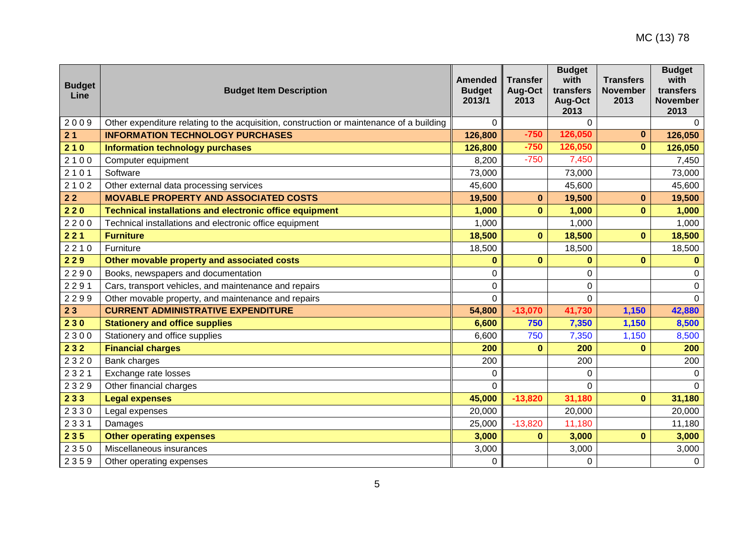| <b>Budget</b><br>Line | <b>Budget Item Description</b>                                                           | <b>Amended</b><br><b>Budget</b><br>2013/1 | <b>Transfer</b><br>Aug-Oct<br>2013 | <b>Budget</b><br>with<br>transfers<br>Aug-Oct<br>2013 | <b>Transfers</b><br><b>November</b><br>2013 | <b>Budget</b><br>with<br>transfers<br><b>November</b><br>2013 |
|-----------------------|------------------------------------------------------------------------------------------|-------------------------------------------|------------------------------------|-------------------------------------------------------|---------------------------------------------|---------------------------------------------------------------|
| 2009                  | Other expenditure relating to the acquisition, construction or maintenance of a building | $\Omega$                                  |                                    | $\Omega$                                              |                                             | $\Omega$                                                      |
| 21                    | <b>INFORMATION TECHNOLOGY PURCHASES</b>                                                  | 126,800                                   | $-750$                             | 126,050                                               | $\bf{0}$                                    | 126,050                                                       |
| 210                   | <b>Information technology purchases</b>                                                  | 126,800                                   | $-750$                             | 126,050                                               | $\bf{0}$                                    | 126,050                                                       |
| 2100                  | Computer equipment                                                                       | 8,200                                     | $-750$                             | 7,450                                                 |                                             | 7,450                                                         |
| 2101                  | Software                                                                                 | 73,000                                    |                                    | 73,000                                                |                                             | 73,000                                                        |
| 2102                  | Other external data processing services                                                  | 45,600                                    |                                    | 45,600                                                |                                             | 45,600                                                        |
| 22                    | <b>MOVABLE PROPERTY AND ASSOCIATED COSTS</b>                                             | 19,500                                    | $\mathbf{0}$                       | 19,500                                                | $\bf{0}$                                    | 19,500                                                        |
| 220                   | <b>Technical installations and electronic office equipment</b>                           | 1,000                                     | $\bf{0}$                           | 1,000                                                 | $\bf{0}$                                    | 1,000                                                         |
| 2200                  | Technical installations and electronic office equipment                                  | 1,000                                     |                                    | 1,000                                                 |                                             | 1,000                                                         |
| 221                   | <b>Furniture</b>                                                                         | 18,500                                    | $\mathbf{0}$                       | 18,500                                                | $\bf{0}$                                    | 18,500                                                        |
| 2210                  | Furniture                                                                                | 18,500                                    |                                    | 18,500                                                |                                             | 18,500                                                        |
| 229                   | Other movable property and associated costs                                              | $\bf{0}$                                  | $\bf{0}$                           | $\bf{0}$                                              | $\bf{0}$                                    | $\bf{0}$                                                      |
| 2290                  | Books, newspapers and documentation                                                      | 0                                         |                                    | 0                                                     |                                             | 0                                                             |
| 2291                  | Cars, transport vehicles, and maintenance and repairs                                    | 0                                         |                                    | 0                                                     |                                             | 0                                                             |
| 2299                  | Other movable property, and maintenance and repairs                                      | $\mathbf 0$                               |                                    | $\mathbf 0$                                           |                                             | $\mathbf 0$                                                   |
| 23                    | <b>CURRENT ADMINISTRATIVE EXPENDITURE</b>                                                | 54,800                                    | $-13,070$                          | 41,730                                                | 1,150                                       | 42,880                                                        |
| 230                   | <b>Stationery and office supplies</b>                                                    | 6,600                                     | 750                                | 7,350                                                 | 1,150                                       | 8,500                                                         |
| 2300                  | Stationery and office supplies                                                           | 6,600                                     | 750                                | 7,350                                                 | 1,150                                       | 8,500                                                         |
| 232                   | <b>Financial charges</b>                                                                 | 200                                       | $\bf{0}$                           | 200                                                   | $\Omega$                                    | 200                                                           |
| 2320                  | Bank charges                                                                             | 200                                       |                                    | 200                                                   |                                             | 200                                                           |
| 2321                  | Exchange rate losses                                                                     | 0                                         |                                    | 0                                                     |                                             | $\mathbf 0$                                                   |
| 2329                  | Other financial charges                                                                  | $\mathbf 0$                               |                                    | $\Omega$                                              |                                             | $\Omega$                                                      |
| 233                   | <b>Legal expenses</b>                                                                    | 45,000                                    | $-13,820$                          | 31,180                                                | $\mathbf 0$                                 | 31,180                                                        |
| 2330                  | Legal expenses                                                                           | 20,000                                    |                                    | 20,000                                                |                                             | 20,000                                                        |
| 2331                  | Damages                                                                                  | 25,000                                    | $-13,820$                          | 11,180                                                |                                             | 11,180                                                        |
| 235                   | <b>Other operating expenses</b>                                                          | 3,000                                     | $\bf{0}$                           | 3,000                                                 | $\bf{0}$                                    | 3,000                                                         |
| 2350                  | Miscellaneous insurances                                                                 | 3,000                                     |                                    | 3,000                                                 |                                             | 3,000                                                         |
| 2359                  | Other operating expenses                                                                 | $\mathbf 0$                               |                                    | $\mathbf 0$                                           |                                             | 0                                                             |